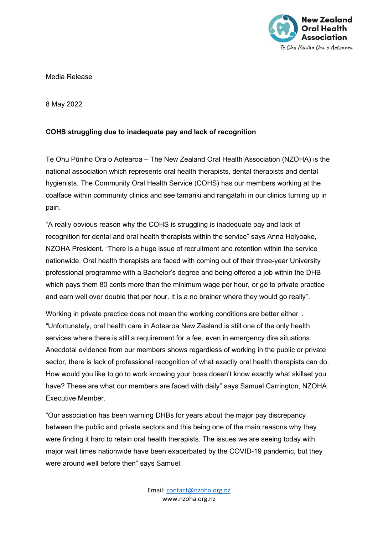

Media Release

8 May 2022

## **COHS struggling due to inadequate pay and lack of recognition**

Te Ohu Pūniho Ora o Aotearoa – The New Zealand Oral Health Association (NZOHA) is the national association which represents oral health therapists, dental therapists and dental hygienists. The Community Oral Health Service (COHS) has our members working at the coalface within community clinics and see tamariki and rangatahi in our clinics turning up in pain.

"A really obvious reason why the COHS is struggling is inadequate pay and lack of recognition for dental and oral health therapists within the service" says Anna Holyoake, NZOHA President. "There is a huge issue of recruitment and retention within the service nationwide. Oral health therapists are faced with coming out of their three-year University professional programme with a Bachelor's degree and being offered a job within the DHB which pays them 80 cents more than the minimum wage per hour, or go to private practice and earn well over double that per hour. It is a no brainer where they would go really".

Work[i](#page-1-0)ng in private practice does not mean the working conditions are better either i. "Unfortunately, oral health care in Aotearoa New Zealand is still one of the only health services where there is still a requirement for a fee, even in emergency dire situations. Anecdotal evidence from our members shows regardless of working in the public or private sector, there is lack of professional recognition of what exactly oral health therapists can do. How would you like to go to work knowing your boss doesn't know exactly what skillset you have? These are what our members are faced with daily" says Samuel Carrington, NZOHA Executive Member.

"Our association has been warning DHBs for years about the major pay discrepancy between the public and private sectors and this being one of the main reasons why they were finding it hard to retain oral health therapists. The issues we are seeing today with major wait times nationwide have been exacerbated by the COVID-19 pandemic, but they were around well before then" says Samuel.

> Email: [contact@nzoha.org.nz](mailto:contact@nzoha.org.nz) www.nzoha.org.nz